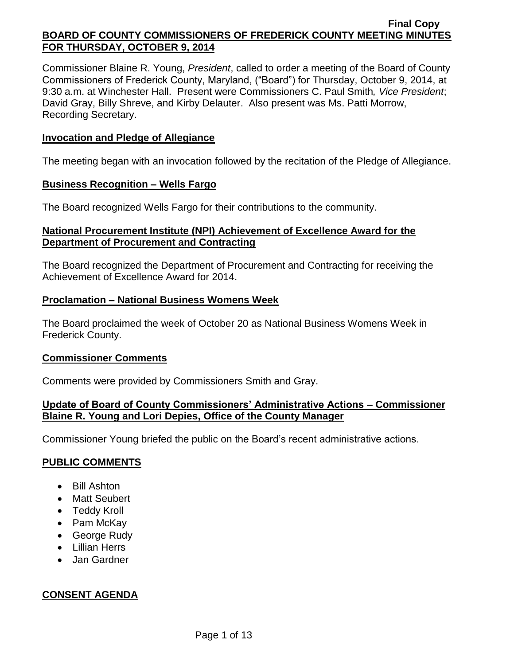Commissioner Blaine R. Young, *President*, called to order a meeting of the Board of County Commissioners of Frederick County, Maryland, ("Board") for Thursday, October 9, 2014, at 9:30 a.m. at Winchester Hall. Present were Commissioners C. Paul Smith*, Vice President*; David Gray, Billy Shreve, and Kirby Delauter. Also present was Ms. Patti Morrow, Recording Secretary.

## **Invocation and Pledge of Allegiance**

The meeting began with an invocation followed by the recitation of the Pledge of Allegiance.

### **Business Recognition – Wells Fargo**

The Board recognized Wells Fargo for their contributions to the community.

## **National Procurement Institute (NPI) Achievement of Excellence Award for the Department of Procurement and Contracting**

The Board recognized the Department of Procurement and Contracting for receiving the Achievement of Excellence Award for 2014.

## **Proclamation – National Business Womens Week**

The Board proclaimed the week of October 20 as National Business Womens Week in Frederick County.

## **Commissioner Comments**

Comments were provided by Commissioners Smith and Gray.

## **Update of Board of County Commissioners' Administrative Actions – Commissioner Blaine R. Young and Lori Depies, Office of the County Manager**

Commissioner Young briefed the public on the Board's recent administrative actions.

## **PUBLIC COMMENTS**

- Bill Ashton
- Matt Seubert
- Teddy Kroll
- Pam McKay
- George Rudy
- Lillian Herrs
- Jan Gardner

## **CONSENT AGENDA**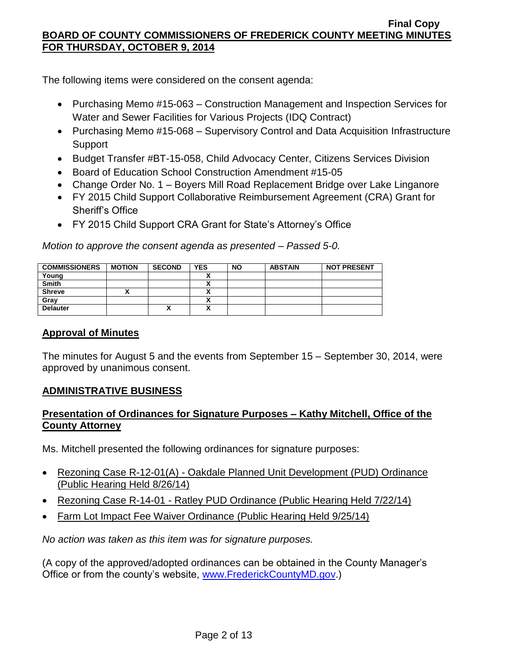The following items were considered on the consent agenda:

- Purchasing Memo #15-063 Construction Management and Inspection Services for Water and Sewer Facilities for Various Projects (IDQ Contract)
- Purchasing Memo #15-068 Supervisory Control and Data Acquisition Infrastructure Support
- Budget Transfer #BT-15-058, Child Advocacy Center, Citizens Services Division
- Board of Education School Construction Amendment #15-05
- Change Order No. 1 Boyers Mill Road Replacement Bridge over Lake Linganore
- FY 2015 Child Support Collaborative Reimbursement Agreement (CRA) Grant for Sheriff's Office
- FY 2015 Child Support CRA Grant for State's Attorney's Office

*Motion to approve the consent agenda as presented – Passed 5-0.*

| <b>COMMISSIONERS</b> | <b>MOTION</b> | <b>SECOND</b> | <b>YES</b> | <b>NO</b> | <b>ABSTAIN</b> | <b>NOT PRESENT</b> |
|----------------------|---------------|---------------|------------|-----------|----------------|--------------------|
| Young                |               |               |            |           |                |                    |
| <b>Smith</b>         |               |               |            |           |                |                    |
| <b>Shreve</b>        |               |               |            |           |                |                    |
| Gray                 |               |               |            |           |                |                    |
| <b>Delauter</b>      |               | ↗             |            |           |                |                    |

# **Approval of Minutes**

The minutes for August 5 and the events from September 15 – September 30, 2014, were approved by unanimous consent.

# **ADMINISTRATIVE BUSINESS**

# **Presentation of Ordinances for Signature Purposes – Kathy Mitchell, Office of the County Attorney**

Ms. Mitchell presented the following ordinances for signature purposes:

- Rezoning Case R-12-01(A) Oakdale Planned Unit Development (PUD) Ordinance (Public Hearing Held 8/26/14)
- Rezoning Case R-14-01 Ratley PUD Ordinance (Public Hearing Held 7/22/14)
- Farm Lot Impact Fee Waiver Ordinance (Public Hearing Held 9/25/14)

*No action was taken as this item was for signature purposes.*

(A copy of the approved/adopted ordinances can be obtained in the County Manager's Office or from the county's website, [www.FrederickCountyMD.gov.](http://www.frederickcountymd.gov/))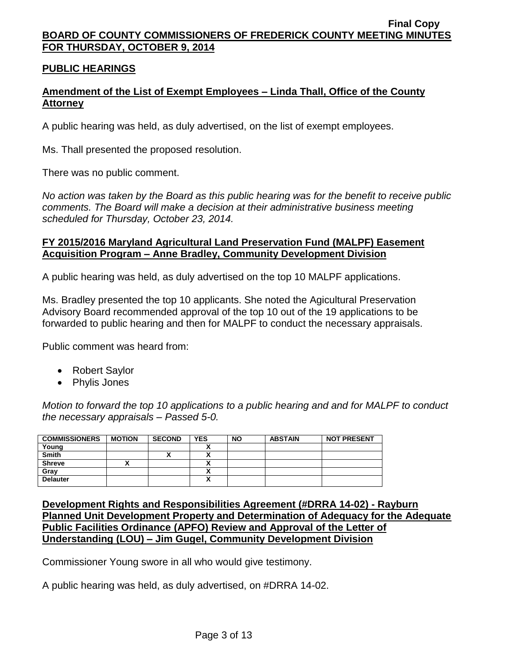# **PUBLIC HEARINGS**

# **Amendment of the List of Exempt Employees – Linda Thall, Office of the County Attorney**

A public hearing was held, as duly advertised, on the list of exempt employees.

Ms. Thall presented the proposed resolution.

There was no public comment.

*No action was taken by the Board as this public hearing was for the benefit to receive public comments. The Board will make a decision at their administrative business meeting scheduled for Thursday, October 23, 2014.*

## **FY 2015/2016 Maryland Agricultural Land Preservation Fund (MALPF) Easement Acquisition Program – Anne Bradley, Community Development Division**

A public hearing was held, as duly advertised on the top 10 MALPF applications.

Ms. Bradley presented the top 10 applicants. She noted the Agicultural Preservation Advisory Board recommended approval of the top 10 out of the 19 applications to be forwarded to public hearing and then for MALPF to conduct the necessary appraisals.

Public comment was heard from:

- Robert Saylor
- Phylis Jones

*Motion to forward the top 10 applications to a public hearing and and for MALPF to conduct the necessary appraisals – Passed 5-0.*

| <b>COMMISSIONERS</b> | <b>MOTION</b> | <b>SECOND</b> | <b>YES</b> | <b>NO</b> | <b>ABSTAIN</b> | <b>NOT PRESENT</b> |
|----------------------|---------------|---------------|------------|-----------|----------------|--------------------|
| Young                |               |               |            |           |                |                    |
| <b>Smith</b>         |               |               |            |           |                |                    |
| <b>Shreve</b>        |               |               |            |           |                |                    |
| Grav                 |               |               |            |           |                |                    |
| <b>Delauter</b>      |               |               | Λ          |           |                |                    |

**Development Rights and Responsibilities Agreement (#DRRA 14-02) - Rayburn Planned Unit Development Property and Determination of Adequacy for the Adequate Public Facilities Ordinance (APFO) Review and Approval of the Letter of Understanding (LOU) – Jim Gugel, Community Development Division**

Commissioner Young swore in all who would give testimony.

A public hearing was held, as duly advertised, on #DRRA 14-02.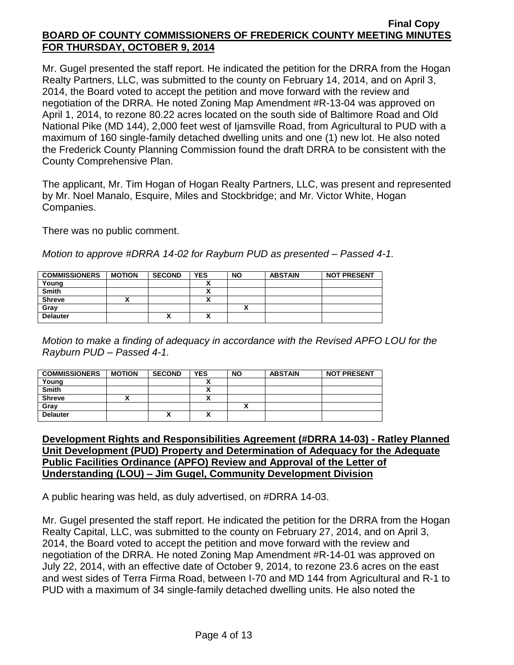Mr. Gugel presented the staff report. He indicated the petition for the DRRA from the Hogan Realty Partners, LLC, was submitted to the county on February 14, 2014, and on April 3, 2014, the Board voted to accept the petition and move forward with the review and negotiation of the DRRA. He noted Zoning Map Amendment #R-13-04 was approved on April 1, 2014, to rezone 80.22 acres located on the south side of Baltimore Road and Old National Pike (MD 144), 2,000 feet west of Ijamsville Road, from Agricultural to PUD with a maximum of 160 single-family detached dwelling units and one (1) new lot. He also noted the Frederick County Planning Commission found the draft DRRA to be consistent with the County Comprehensive Plan.

The applicant, Mr. Tim Hogan of Hogan Realty Partners, LLC, was present and represented by Mr. Noel Manalo, Esquire, Miles and Stockbridge; and Mr. Victor White, Hogan Companies.

There was no public comment.

*Motion to approve #DRRA 14-02 for Rayburn PUD as presented – Passed 4-1.*

| <b>COMMISSIONERS</b> | <b>MOTION</b> | <b>SECOND</b> | <b>YES</b> | <b>NO</b> | <b>ABSTAIN</b> | <b>NOT PRESENT</b> |
|----------------------|---------------|---------------|------------|-----------|----------------|--------------------|
| Young                |               |               |            |           |                |                    |
| <b>Smith</b>         |               |               |            |           |                |                    |
| <b>Shreve</b>        |               |               | ~          |           |                |                    |
| Gray                 |               |               |            |           |                |                    |
| <b>Delauter</b>      |               | Λ             | ^          |           |                |                    |

*Motion to make a finding of adequacy in accordance with the Revised APFO LOU for the Rayburn PUD – Passed 4-1.*

| <b>COMMISSIONERS</b> | <b>MOTION</b> | <b>SECOND</b> | <b>YES</b> | <b>NO</b> | <b>ABSTAIN</b> | <b>NOT PRESENT</b> |
|----------------------|---------------|---------------|------------|-----------|----------------|--------------------|
| Young                |               |               |            |           |                |                    |
| Smith                |               |               |            |           |                |                    |
| <b>Shreve</b>        |               |               |            |           |                |                    |
| Gray                 |               |               |            |           |                |                    |
| <b>Delauter</b>      |               | Λ             |            |           |                |                    |

## **Development Rights and Responsibilities Agreement (#DRRA 14-03) - Ratley Planned Unit Development (PUD) Property and Determination of Adequacy for the Adequate Public Facilities Ordinance (APFO) Review and Approval of the Letter of Understanding (LOU) – Jim Gugel, Community Development Division**

A public hearing was held, as duly advertised, on #DRRA 14-03.

Mr. Gugel presented the staff report. He indicated the petition for the DRRA from the Hogan Realty Capital, LLC, was submitted to the county on February 27, 2014, and on April 3, 2014, the Board voted to accept the petition and move forward with the review and negotiation of the DRRA. He noted Zoning Map Amendment #R-14-01 was approved on July 22, 2014, with an effective date of October 9, 2014, to rezone 23.6 acres on the east and west sides of Terra Firma Road, between I-70 and MD 144 from Agricultural and R-1 to PUD with a maximum of 34 single-family detached dwelling units. He also noted the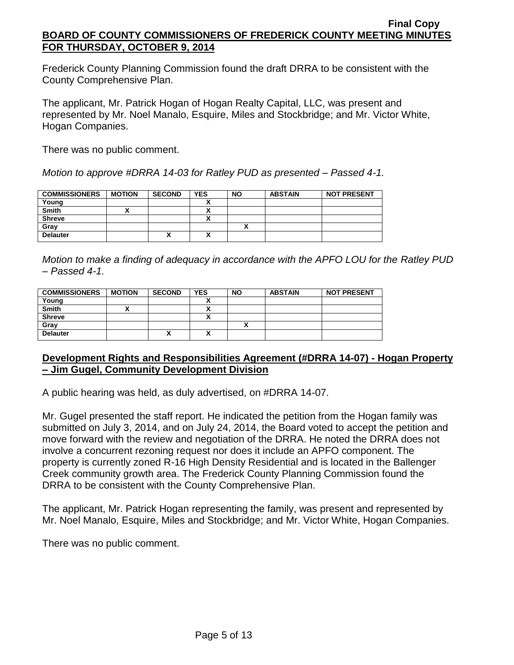Frederick County Planning Commission found the draft DRRA to be consistent with the County Comprehensive Plan.

The applicant, Mr. Patrick Hogan of Hogan Realty Capital, LLC, was present and represented by Mr. Noel Manalo, Esquire, Miles and Stockbridge; and Mr. Victor White, Hogan Companies.

There was no public comment.

*Motion to approve #DRRA 14-03 for Ratley PUD as presented – Passed 4-1.*

| <b>COMMISSIONERS</b> | <b>MOTION</b> | <b>SECOND</b> | <b>YES</b> | <b>NO</b> | <b>ABSTAIN</b> | <b>NOT PRESENT</b> |
|----------------------|---------------|---------------|------------|-----------|----------------|--------------------|
| Young                |               |               |            |           |                |                    |
| Smith                |               |               |            |           |                |                    |
| <b>Shreve</b>        |               |               |            |           |                |                    |
| Gray                 |               |               |            |           |                |                    |
| <b>Delauter</b>      |               | "             | Λ          |           |                |                    |

*Motion to make a finding of adequacy in accordance with the APFO LOU for the Ratley PUD – Passed 4-1.*

| <b>COMMISSIONERS</b> | <b>MOTION</b> | <b>SECOND</b> | <b>YES</b> | <b>NO</b> | <b>ABSTAIN</b> | <b>NOT PRESENT</b> |
|----------------------|---------------|---------------|------------|-----------|----------------|--------------------|
| Young                |               |               | ~          |           |                |                    |
| <b>Smith</b>         |               |               |            |           |                |                    |
| <b>Shreve</b>        |               |               | $\sqrt{ }$ |           |                |                    |
| Gray                 |               |               |            |           |                |                    |
| <b>Delauter</b>      |               | ́             | v<br>n     |           |                |                    |

## **Development Rights and Responsibilities Agreement (#DRRA 14-07) - Hogan Property – Jim Gugel, Community Development Division**

A public hearing was held, as duly advertised, on #DRRA 14-07.

Mr. Gugel presented the staff report. He indicated the petition from the Hogan family was submitted on July 3, 2014, and on July 24, 2014, the Board voted to accept the petition and move forward with the review and negotiation of the DRRA. He noted the DRRA does not involve a concurrent rezoning request nor does it include an APFO component. The property is currently zoned R-16 High Density Residential and is located in the Ballenger Creek community growth area. The Frederick County Planning Commission found the DRRA to be consistent with the County Comprehensive Plan.

The applicant, Mr. Patrick Hogan representing the family, was present and represented by Mr. Noel Manalo, Esquire, Miles and Stockbridge; and Mr. Victor White, Hogan Companies.

There was no public comment.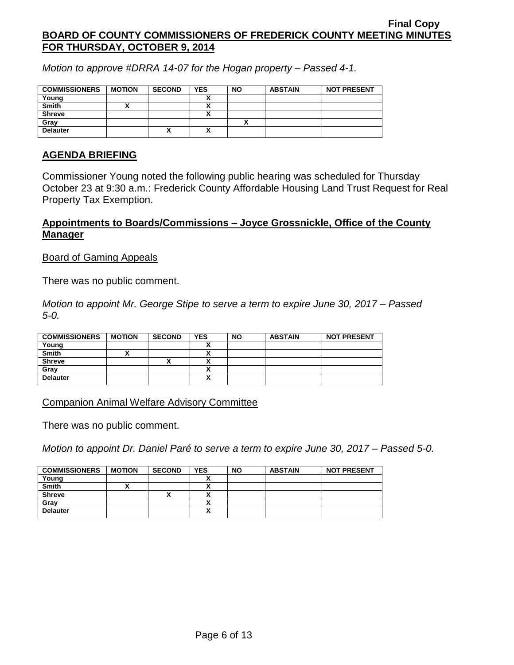*Motion to approve #DRRA 14-07 for the Hogan property – Passed 4-1.*

| <b>COMMISSIONERS</b> | <b>MOTION</b> | <b>SECOND</b> | <b>YES</b> | <b>NO</b> | <b>ABSTAIN</b> | <b>NOT PRESENT</b> |
|----------------------|---------------|---------------|------------|-----------|----------------|--------------------|
| Young                |               |               |            |           |                |                    |
| <b>Smith</b>         |               |               |            |           |                |                    |
| <b>Shreve</b>        |               |               |            |           |                |                    |
| Grav                 |               |               |            |           |                |                    |
| <b>Delauter</b>      |               | Λ             | Λ          |           |                |                    |

## **AGENDA BRIEFING**

Commissioner Young noted the following public hearing was scheduled for Thursday October 23 at 9:30 a.m.: Frederick County Affordable Housing Land Trust Request for Real Property Tax Exemption.

## **Appointments to Boards/Commissions – Joyce Grossnickle, Office of the County Manager**

### Board of Gaming Appeals

There was no public comment.

*Motion to appoint Mr. George Stipe to serve a term to expire June 30, 2017 – Passed 5-0.*

| <b>COMMISSIONERS</b> | <b>MOTION</b> | <b>SECOND</b> | <b>YES</b> | <b>NO</b> | <b>ABSTAIN</b> | <b>NOT PRESENT</b> |
|----------------------|---------------|---------------|------------|-----------|----------------|--------------------|
| Young                |               |               |            |           |                |                    |
| <b>Smith</b>         |               |               |            |           |                |                    |
| <b>Shreve</b>        |               | "             |            |           |                |                    |
| Gray                 |               |               |            |           |                |                    |
| <b>Delauter</b>      |               |               | ↗          |           |                |                    |

Companion Animal Welfare Advisory Committee

There was no public comment.

*Motion to appoint Dr. Daniel Paré to serve a term to expire June 30, 2017 – Passed 5-0.*

| <b>COMMISSIONERS</b> | <b>MOTION</b> | <b>SECOND</b> | <b>YES</b> | <b>NO</b> | <b>ABSTAIN</b> | <b>NOT PRESENT</b> |
|----------------------|---------------|---------------|------------|-----------|----------------|--------------------|
| Young                |               |               |            |           |                |                    |
| Smith                |               |               |            |           |                |                    |
| <b>Shreve</b>        |               |               |            |           |                |                    |
| Gray                 |               |               |            |           |                |                    |
| <b>Delauter</b>      |               |               |            |           |                |                    |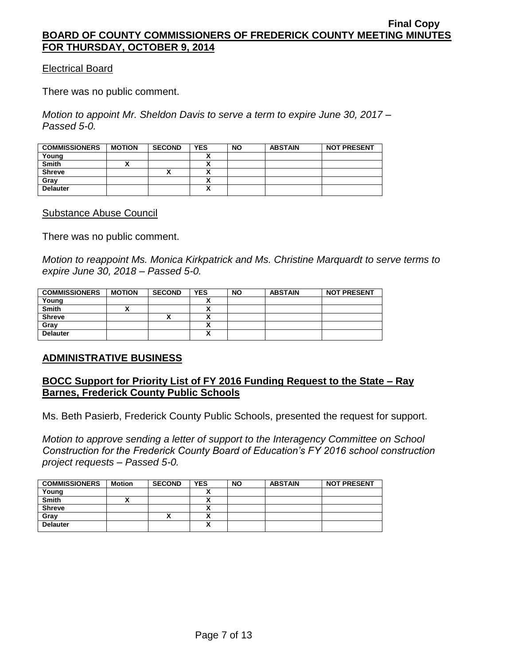## Electrical Board

There was no public comment.

*Motion to appoint Mr. Sheldon Davis to serve a term to expire June 30, 2017 – Passed 5-0.*

| <b>COMMISSIONERS</b> | <b>MOTION</b> | <b>SECOND</b> | <b>YES</b> | <b>NO</b> | <b>ABSTAIN</b> | <b>NOT PRESENT</b> |
|----------------------|---------------|---------------|------------|-----------|----------------|--------------------|
| Young                |               |               |            |           |                |                    |
| <b>Smith</b>         |               |               |            |           |                |                    |
| <b>Shreve</b>        |               |               |            |           |                |                    |
| Gray                 |               |               |            |           |                |                    |
| <b>Delauter</b>      |               |               | Λ          |           |                |                    |

Substance Abuse Council

There was no public comment.

*Motion to reappoint Ms. Monica Kirkpatrick and Ms. Christine Marquardt to serve terms to expire June 30, 2018 – Passed 5-0.*

| <b>COMMISSIONERS</b> | <b>MOTION</b> | <b>SECOND</b> | <b>YES</b> | <b>NO</b> | <b>ABSTAIN</b> | <b>NOT PRESENT</b> |
|----------------------|---------------|---------------|------------|-----------|----------------|--------------------|
| Young                |               |               |            |           |                |                    |
| <b>Smith</b>         |               |               |            |           |                |                    |
| <b>Shreve</b>        |               | $\mathbf{r}$  |            |           |                |                    |
| Gray                 |               |               | ~          |           |                |                    |
| <b>Delauter</b>      |               |               | A          |           |                |                    |

## **ADMINISTRATIVE BUSINESS**

## **BOCC Support for Priority List of FY 2016 Funding Request to the State – Ray Barnes, Frederick County Public Schools**

Ms. Beth Pasierb, Frederick County Public Schools, presented the request for support.

*Motion to approve sending a letter of support to the Interagency Committee on School Construction for the Frederick County Board of Education's FY 2016 school construction project requests – Passed 5-0.*

| <b>COMMISSIONERS</b> | Motion | <b>SECOND</b> | <b>YES</b> | <b>NO</b> | <b>ABSTAIN</b> | <b>NOT PRESENT</b> |
|----------------------|--------|---------------|------------|-----------|----------------|--------------------|
| Young                |        |               |            |           |                |                    |
| <b>Smith</b>         |        |               |            |           |                |                    |
| <b>Shreve</b>        |        |               |            |           |                |                    |
| Gray                 |        | Λ             |            |           |                |                    |
| <b>Delauter</b>      |        |               | ~          |           |                |                    |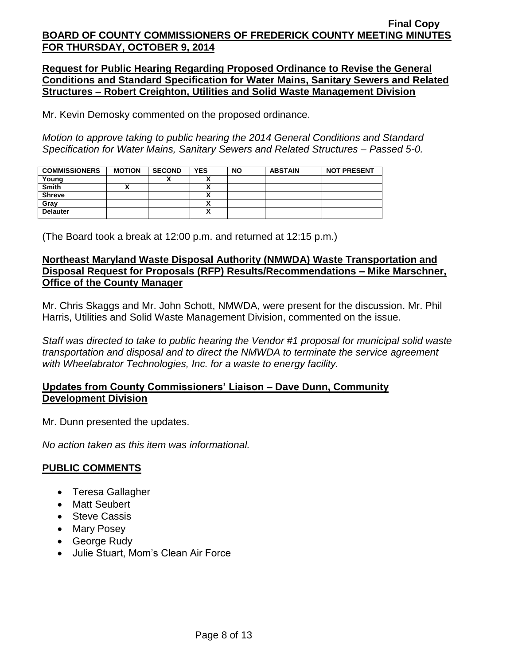**Request for Public Hearing Regarding Proposed Ordinance to Revise the General Conditions and Standard Specification for Water Mains, Sanitary Sewers and Related Structures – Robert Creighton, Utilities and Solid Waste Management Division**

Mr. Kevin Demosky commented on the proposed ordinance.

*Motion to approve taking to public hearing the 2014 General Conditions and Standard Specification for Water Mains, Sanitary Sewers and Related Structures – Passed 5-0.*

| <b>COMMISSIONERS</b> | <b>MOTION</b> | <b>SECOND</b> | <b>YES</b>               | <b>NO</b> | <b>ABSTAIN</b> | <b>NOT PRESENT</b> |
|----------------------|---------------|---------------|--------------------------|-----------|----------------|--------------------|
| Young                |               | ~             |                          |           |                |                    |
| <b>Smith</b>         |               |               |                          |           |                |                    |
| <b>Shreve</b>        |               |               |                          |           |                |                    |
| Gray                 |               |               | $\overline{\phantom{a}}$ |           |                |                    |
| <b>Delauter</b>      |               |               | A                        |           |                |                    |

(The Board took a break at 12:00 p.m. and returned at 12:15 p.m.)

## **Northeast Maryland Waste Disposal Authority (NMWDA) Waste Transportation and Disposal Request for Proposals (RFP) Results/Recommendations – Mike Marschner, Office of the County Manager**

Mr. Chris Skaggs and Mr. John Schott, NMWDA, were present for the discussion. Mr. Phil Harris, Utilities and Solid Waste Management Division, commented on the issue.

*Staff was directed to take to public hearing the Vendor #1 proposal for municipal solid waste transportation and disposal and to direct the NMWDA to terminate the service agreement with Wheelabrator Technologies, Inc. for a waste to energy facility.*

## **Updates from County Commissioners' Liaison – Dave Dunn, Community Development Division**

Mr. Dunn presented the updates.

*No action taken as this item was informational.*

## **PUBLIC COMMENTS**

- Teresa Gallagher
- Matt Seubert
- Steve Cassis
- Mary Posey
- George Rudy
- Julie Stuart, Mom's Clean Air Force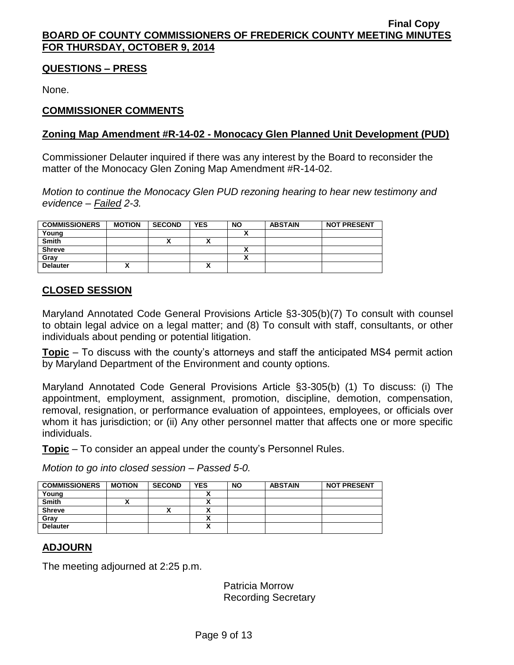## **QUESTIONS – PRESS**

None.

# **COMMISSIONER COMMENTS**

# **Zoning Map Amendment #R-14-02 - Monocacy Glen Planned Unit Development (PUD)**

Commissioner Delauter inquired if there was any interest by the Board to reconsider the matter of the Monocacy Glen Zoning Map Amendment #R-14-02.

*Motion to continue the Monocacy Glen PUD rezoning hearing to hear new testimony and evidence – Failed 2-3.*

| <b>COMMISSIONERS</b> | <b>MOTION</b> | <b>SECOND</b> | <b>YES</b> | <b>NO</b> | <b>ABSTAIN</b> | <b>NOT PRESENT</b> |
|----------------------|---------------|---------------|------------|-----------|----------------|--------------------|
| Young                |               |               |            |           |                |                    |
| <b>Smith</b>         |               | '             |            |           |                |                    |
| <b>Shreve</b>        |               |               |            |           |                |                    |
| Grav                 |               |               |            |           |                |                    |
| <b>Delauter</b>      |               |               | ٠.<br>Λ    |           |                |                    |

# **CLOSED SESSION**

Maryland Annotated Code General Provisions Article §3-305(b)(7) To consult with counsel to obtain legal advice on a legal matter; and (8) To consult with staff, consultants, or other individuals about pending or potential litigation.

**Topic** – To discuss with the county's attorneys and staff the anticipated MS4 permit action by Maryland Department of the Environment and county options.

Maryland Annotated Code General Provisions Article §3-305(b) (1) To discuss: (i) The appointment, employment, assignment, promotion, discipline, demotion, compensation, removal, resignation, or performance evaluation of appointees, employees, or officials over whom it has jurisdiction; or (ii) Any other personnel matter that affects one or more specific individuals.

**Topic** – To consider an appeal under the county's Personnel Rules.

*Motion to go into closed session – Passed 5-0.*

| <b>COMMISSIONERS</b> | <b>MOTION</b> | <b>SECOND</b> | <b>YES</b>   | <b>NO</b> | <b>ABSTAIN</b> | <b>NOT PRESENT</b> |
|----------------------|---------------|---------------|--------------|-----------|----------------|--------------------|
| Young                |               |               |              |           |                |                    |
| <b>Smith</b>         |               |               |              |           |                |                    |
| <b>Shreve</b>        |               | "             |              |           |                |                    |
| Gray                 |               |               |              |           |                |                    |
| <b>Delauter</b>      |               |               | $\mathbf{v}$ |           |                |                    |

# **ADJOURN**

The meeting adjourned at 2:25 p.m.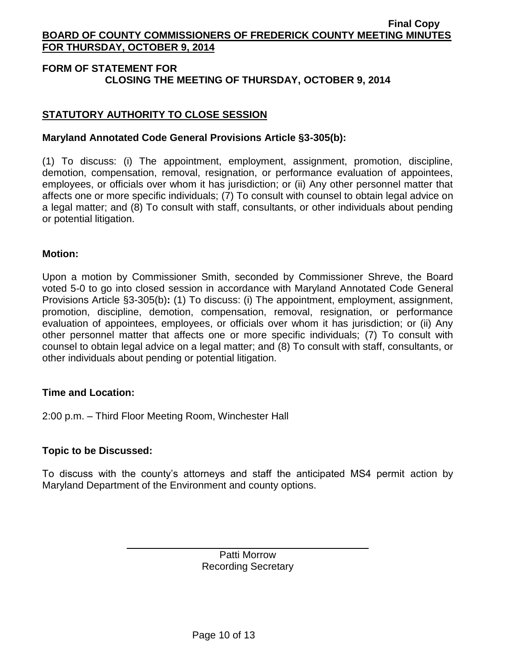# **FORM OF STATEMENT FOR CLOSING THE MEETING OF THURSDAY, OCTOBER 9, 2014**

# **STATUTORY AUTHORITY TO CLOSE SESSION**

# **Maryland Annotated Code General Provisions Article §3-305(b):**

(1) To discuss: (i) The appointment, employment, assignment, promotion, discipline, demotion, compensation, removal, resignation, or performance evaluation of appointees, employees, or officials over whom it has jurisdiction; or (ii) Any other personnel matter that affects one or more specific individuals; (7) To consult with counsel to obtain legal advice on a legal matter; and (8) To consult with staff, consultants, or other individuals about pending or potential litigation.

## **Motion:**

Upon a motion by Commissioner Smith, seconded by Commissioner Shreve, the Board voted 5-0 to go into closed session in accordance with Maryland Annotated Code General Provisions Article §3-305(b)**:** (1) To discuss: (i) The appointment, employment, assignment, promotion, discipline, demotion, compensation, removal, resignation, or performance evaluation of appointees, employees, or officials over whom it has jurisdiction; or (ii) Any other personnel matter that affects one or more specific individuals; (7) To consult with counsel to obtain legal advice on a legal matter; and (8) To consult with staff, consultants, or other individuals about pending or potential litigation.

## **Time and Location:**

2:00 p.m. – Third Floor Meeting Room, Winchester Hall

## **Topic to be Discussed:**

To discuss with the county's attorneys and staff the anticipated MS4 permit action by Maryland Department of the Environment and county options.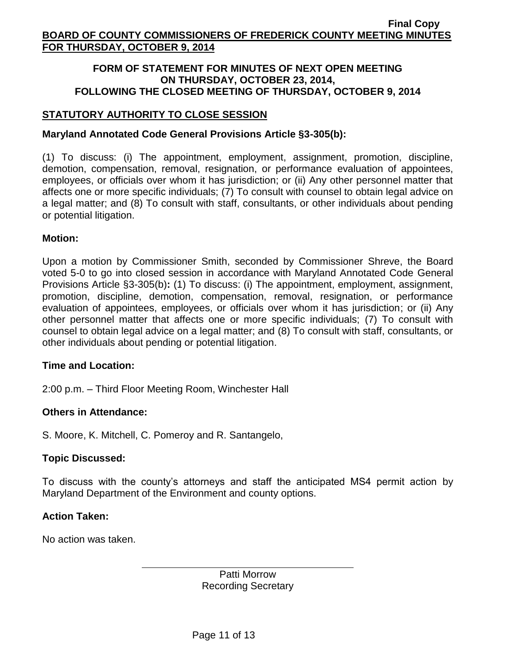## **FORM OF STATEMENT FOR MINUTES OF NEXT OPEN MEETING ON THURSDAY, OCTOBER 23, 2014, FOLLOWING THE CLOSED MEETING OF THURSDAY, OCTOBER 9, 2014**

## **STATUTORY AUTHORITY TO CLOSE SESSION**

## **Maryland Annotated Code General Provisions Article §3-305(b):**

(1) To discuss: (i) The appointment, employment, assignment, promotion, discipline, demotion, compensation, removal, resignation, or performance evaluation of appointees, employees, or officials over whom it has jurisdiction; or (ii) Any other personnel matter that affects one or more specific individuals; (7) To consult with counsel to obtain legal advice on a legal matter; and (8) To consult with staff, consultants, or other individuals about pending or potential litigation.

## **Motion:**

Upon a motion by Commissioner Smith, seconded by Commissioner Shreve, the Board voted 5-0 to go into closed session in accordance with Maryland Annotated Code General Provisions Article §3-305(b)**:** (1) To discuss: (i) The appointment, employment, assignment, promotion, discipline, demotion, compensation, removal, resignation, or performance evaluation of appointees, employees, or officials over whom it has jurisdiction; or (ii) Any other personnel matter that affects one or more specific individuals; (7) To consult with counsel to obtain legal advice on a legal matter; and (8) To consult with staff, consultants, or other individuals about pending or potential litigation.

## **Time and Location:**

2:00 p.m. – Third Floor Meeting Room, Winchester Hall

## **Others in Attendance:**

S. Moore, K. Mitchell, C. Pomeroy and R. Santangelo,

## **Topic Discussed:**

To discuss with the county's attorneys and staff the anticipated MS4 permit action by Maryland Department of the Environment and county options.

## **Action Taken:**

No action was taken.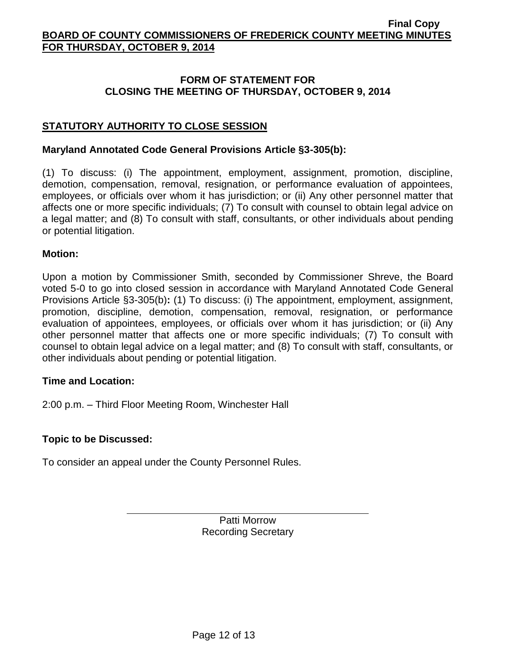## **FORM OF STATEMENT FOR CLOSING THE MEETING OF THURSDAY, OCTOBER 9, 2014**

# **STATUTORY AUTHORITY TO CLOSE SESSION**

### **Maryland Annotated Code General Provisions Article §3-305(b):**

(1) To discuss: (i) The appointment, employment, assignment, promotion, discipline, demotion, compensation, removal, resignation, or performance evaluation of appointees, employees, or officials over whom it has jurisdiction; or (ii) Any other personnel matter that affects one or more specific individuals; (7) To consult with counsel to obtain legal advice on a legal matter; and (8) To consult with staff, consultants, or other individuals about pending or potential litigation.

## **Motion:**

Upon a motion by Commissioner Smith, seconded by Commissioner Shreve, the Board voted 5-0 to go into closed session in accordance with Maryland Annotated Code General Provisions Article §3-305(b)**:** (1) To discuss: (i) The appointment, employment, assignment, promotion, discipline, demotion, compensation, removal, resignation, or performance evaluation of appointees, employees, or officials over whom it has jurisdiction; or (ii) Any other personnel matter that affects one or more specific individuals; (7) To consult with counsel to obtain legal advice on a legal matter; and (8) To consult with staff, consultants, or other individuals about pending or potential litigation.

## **Time and Location:**

2:00 p.m. – Third Floor Meeting Room, Winchester Hall

## **Topic to be Discussed:**

To consider an appeal under the County Personnel Rules.